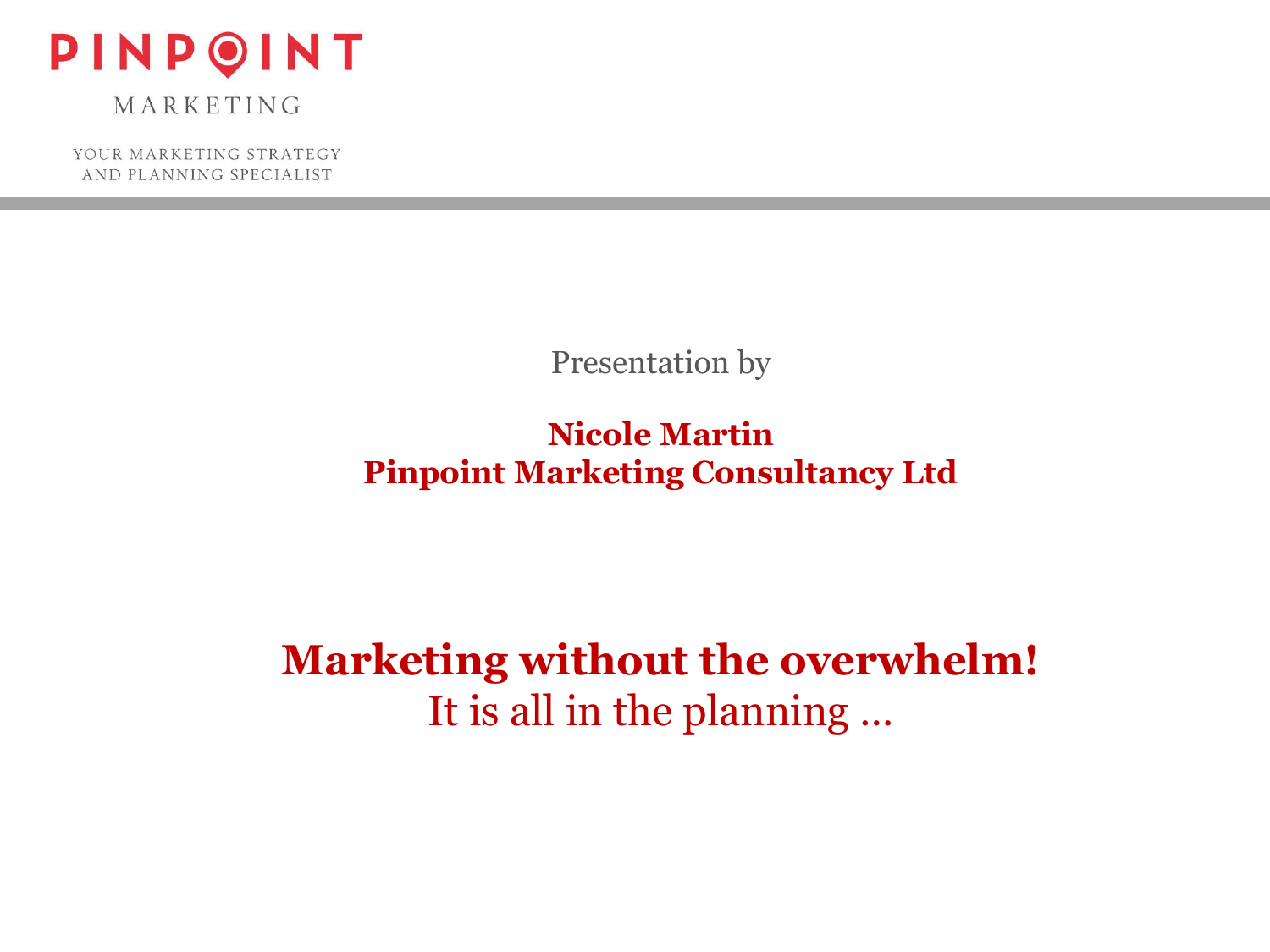

YOUR MARKETING STRATEGY AND PLANNING SPECIALIST

Presentation by

**Nicole Martin Pinpoint Marketing Consultancy Ltd**

**Marketing without the overwhelm!** It is all in the planning …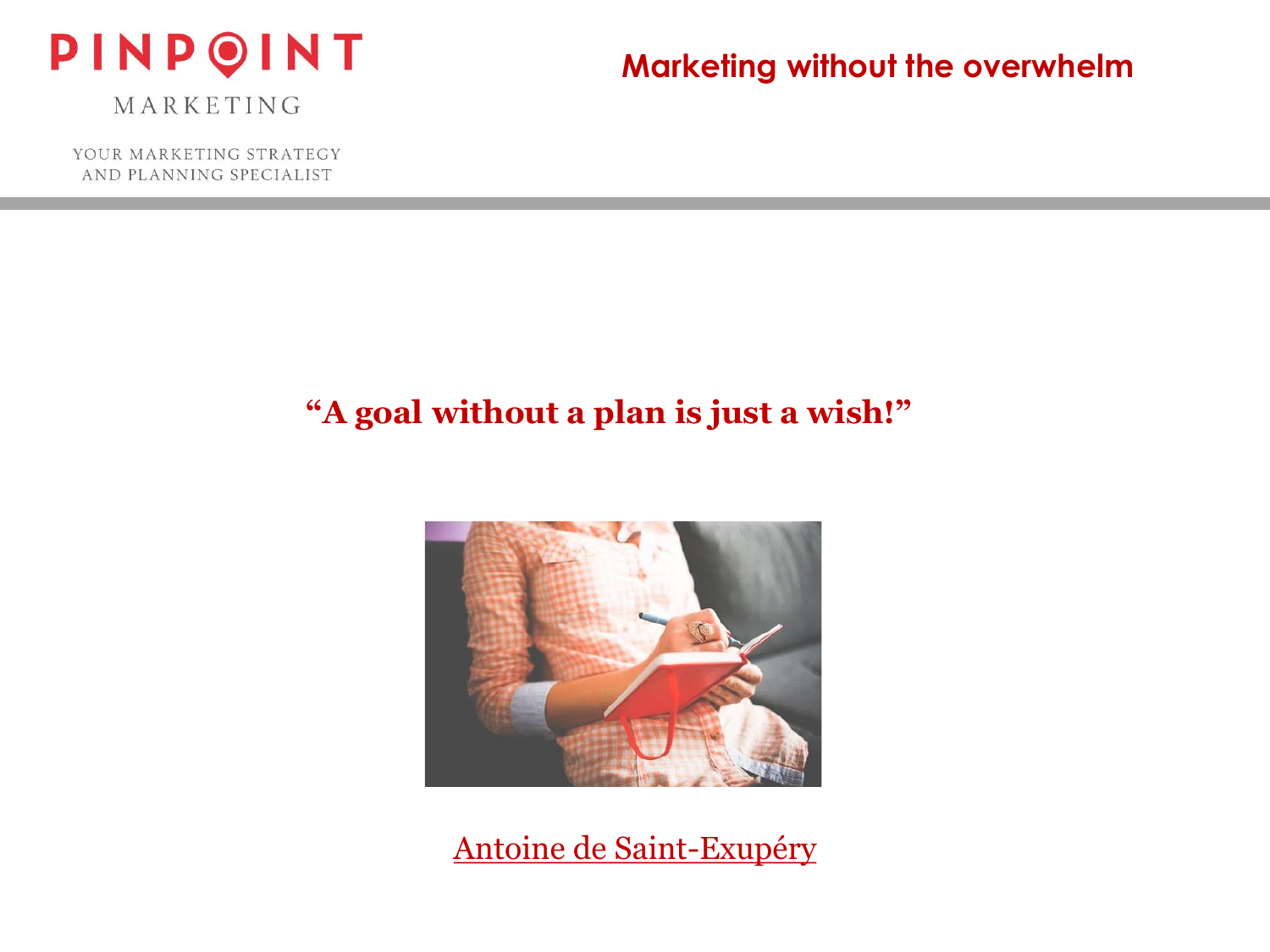

YOUR MARKETING STRATEGY AND PLANNING SPECIALIST

#### **Marketing without the overwhelm**

# **"A goal without a plan is just a wish!"**



Antoine de Saint-Exupéry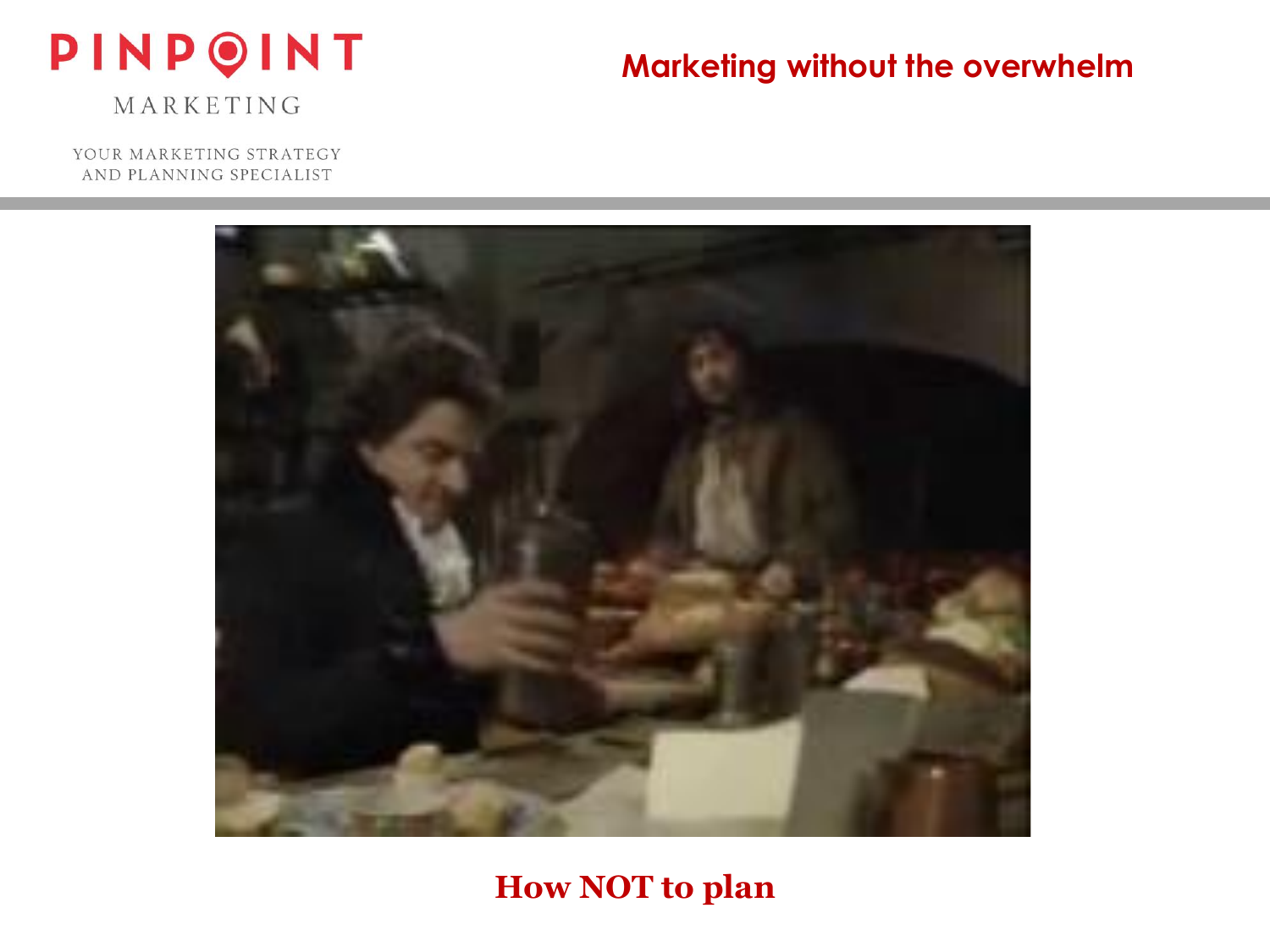# PINPOINT

# **Marketing without the overwhelm**

MARKETING

YOUR MARKETING STRATEGY AND PLANNING SPECIALIST



## **How NOT to plan**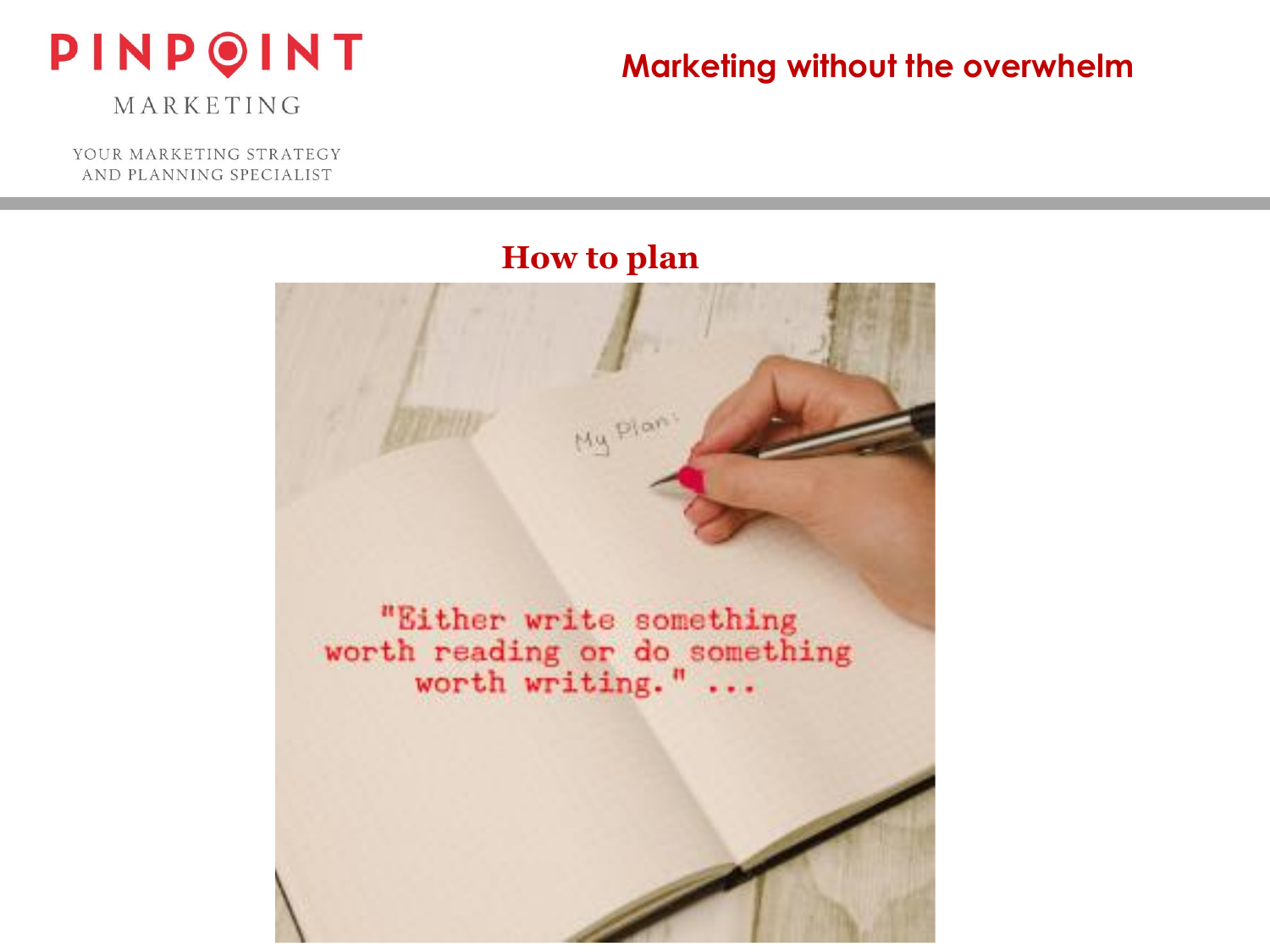

MARKETING

YOUR MARKETING STRATEGY AND PLANNING SPECIALIST

#### **How to plan**

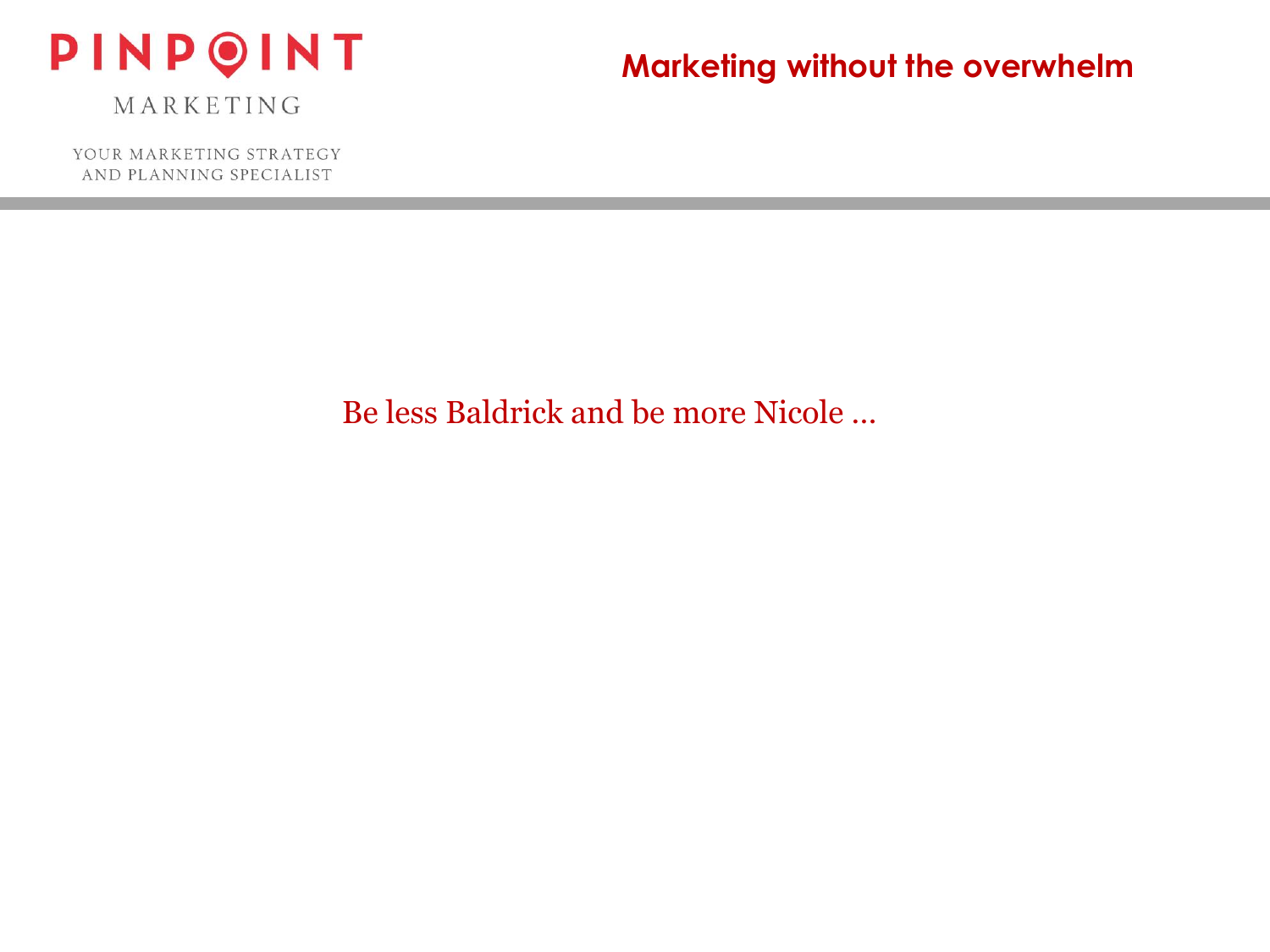

YOUR MARKETING STRATEGY AND PLANNING SPECIALIST

## **Marketing without the overwhelm**

Be less Baldrick and be more Nicole …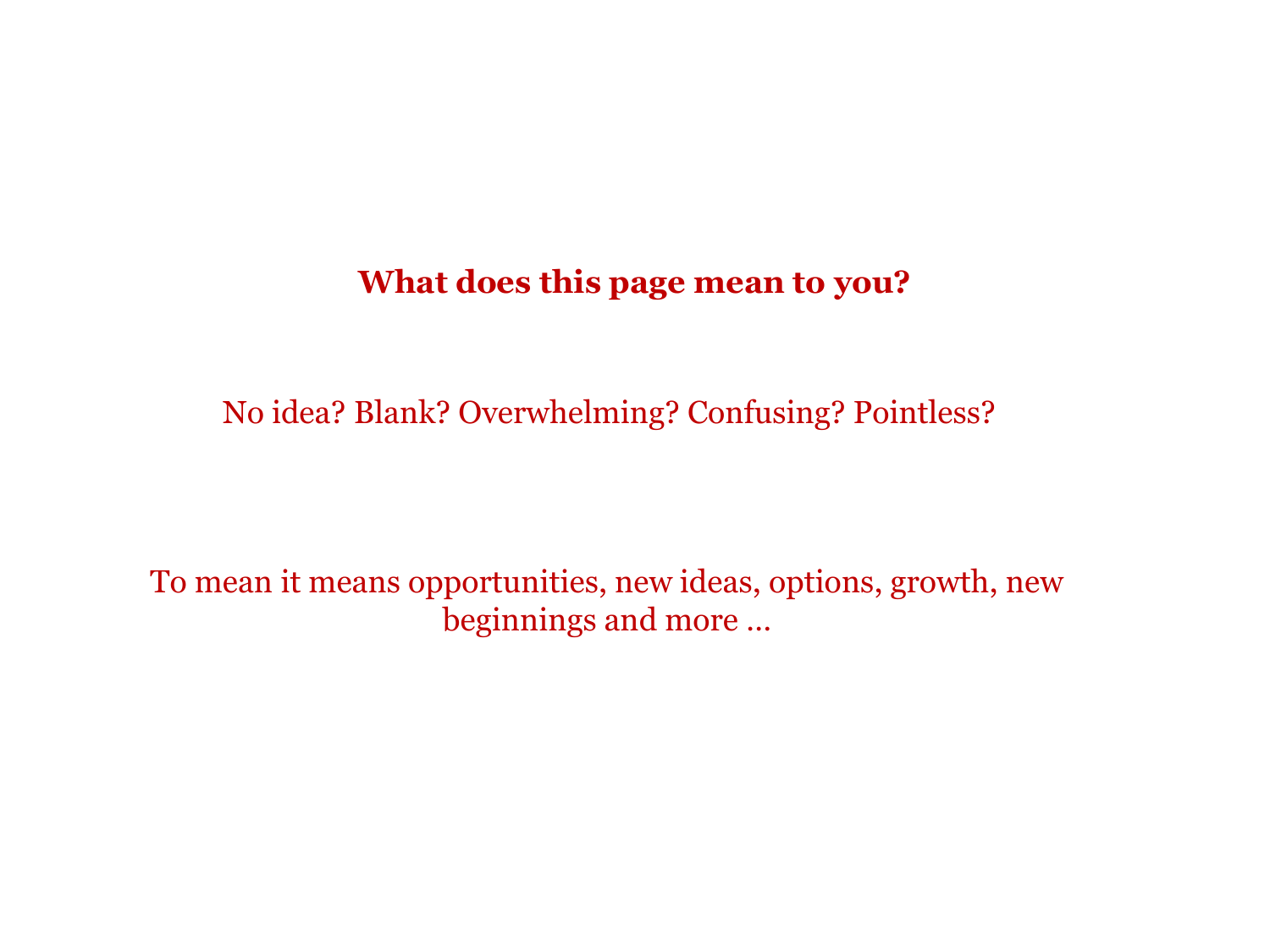#### **What does this page mean to you?**

No idea? Blank? Overwhelming? Confusing? Pointless?

To mean it means opportunities, new ideas, options, growth, new beginnings and more …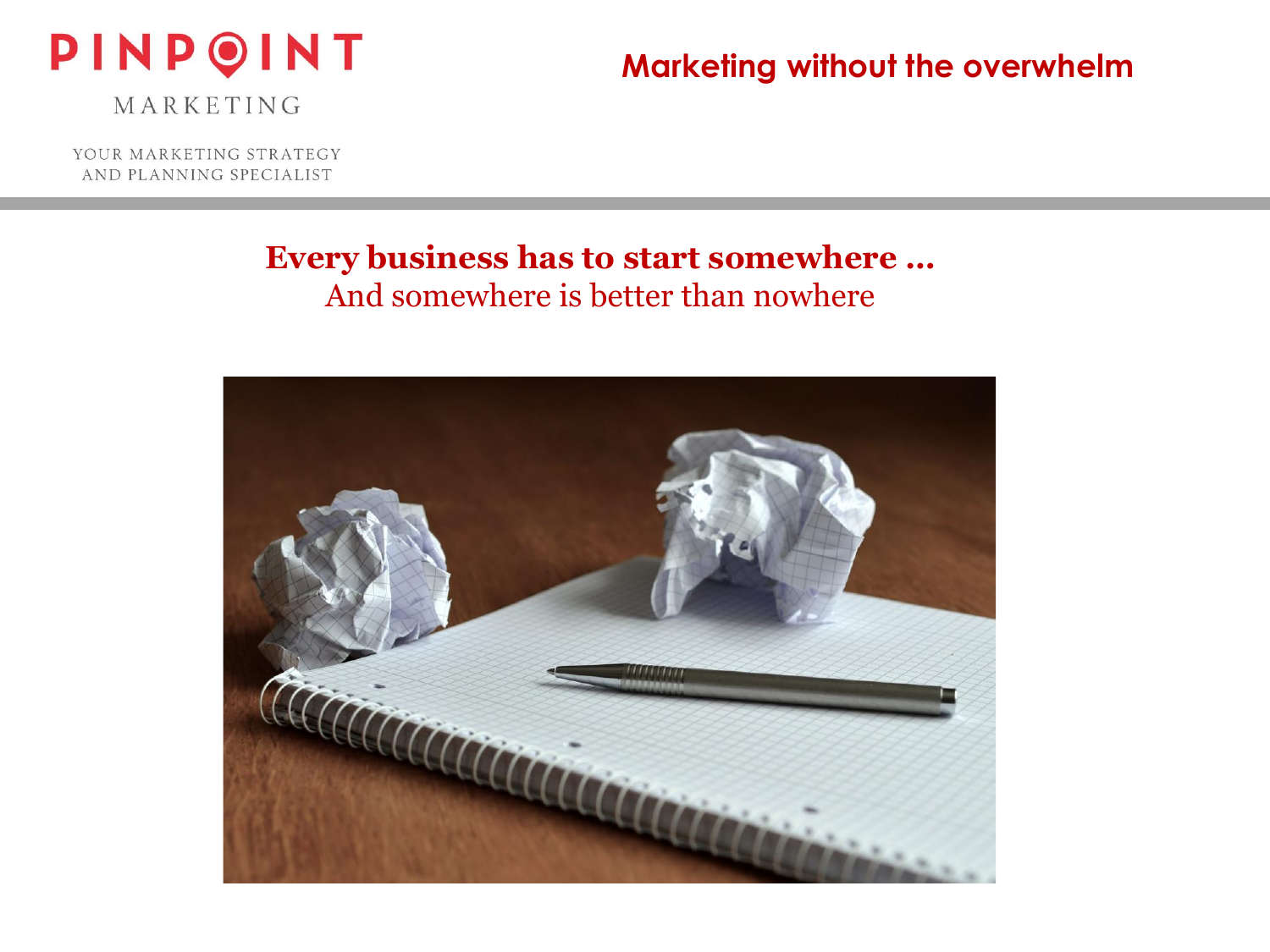

MARKETING

YOUR MARKETING STRATEGY AND PLANNING SPECIALIST

#### **Every business has to start somewhere …** And somewhere is better than nowhere

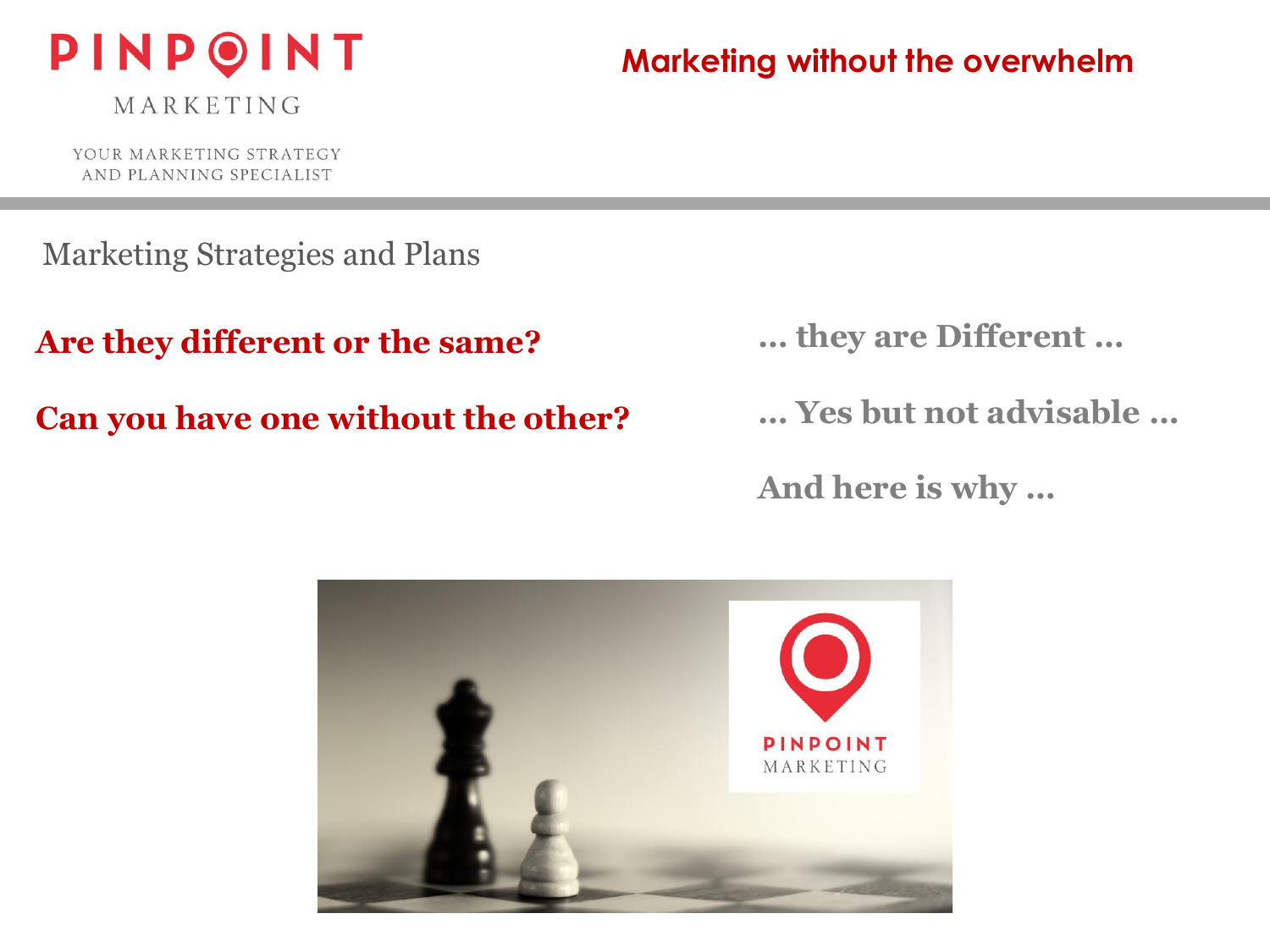

YOUR MARKETING STRATEGY AND PLANNING SPECIALIST

**Marketing without the overwhelm**

Marketing Strategies and Plans

**Are they different or the same?**

**Can you have one without the other?** 

**… they are Different …**

**… Yes but not advisable …**

**And here is why …**

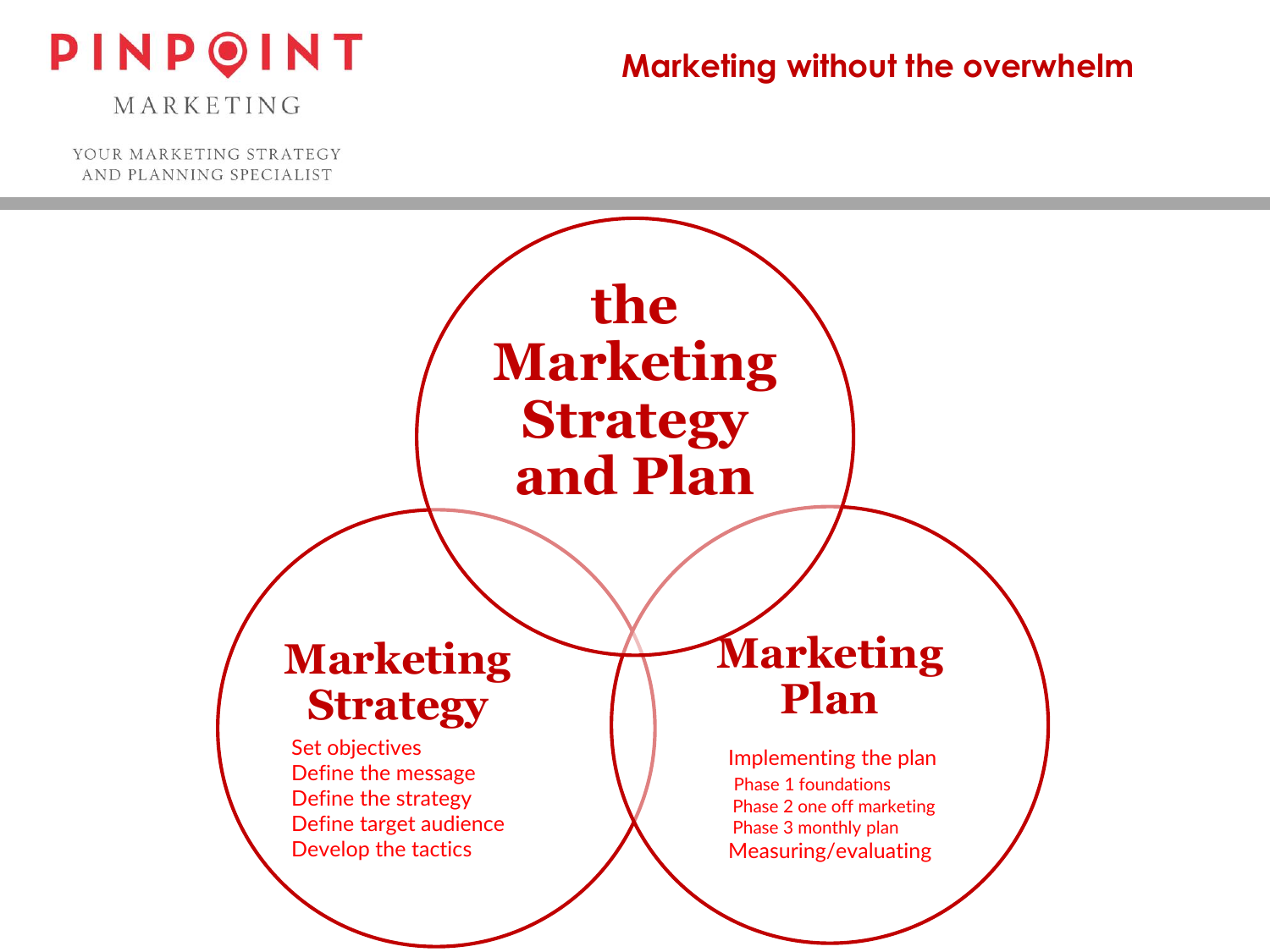

MARKETING

YOUR MARKETING STRATEGY AND PLANNING SPECIALIST

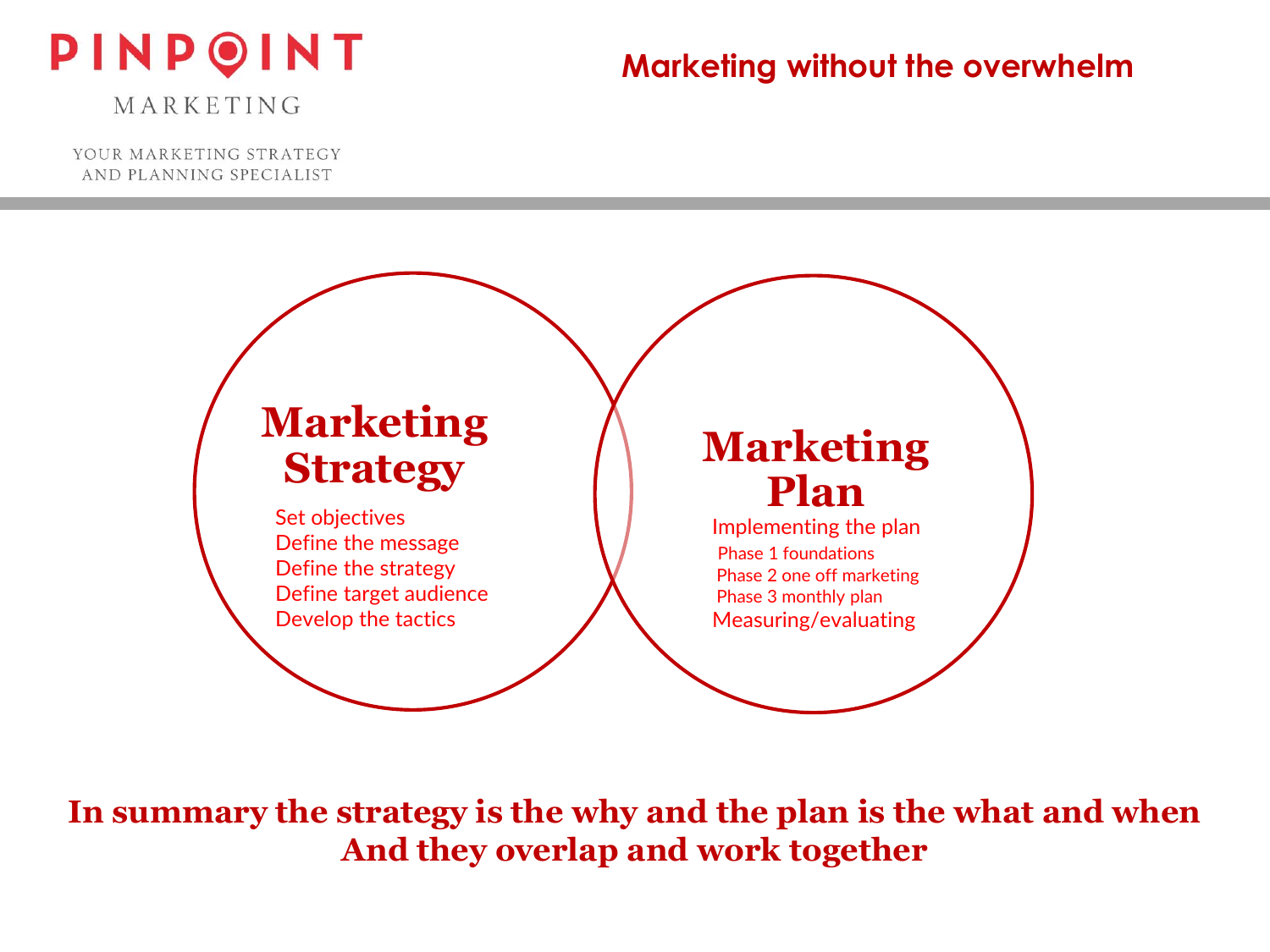# PINPOINT

## **Marketing without the overwhelm**

MARKETING

YOUR MARKETING STRATEGY AND PLANNING SPECIALIST



**In summary the strategy is the why and the plan is the what and when And they overlap and work together**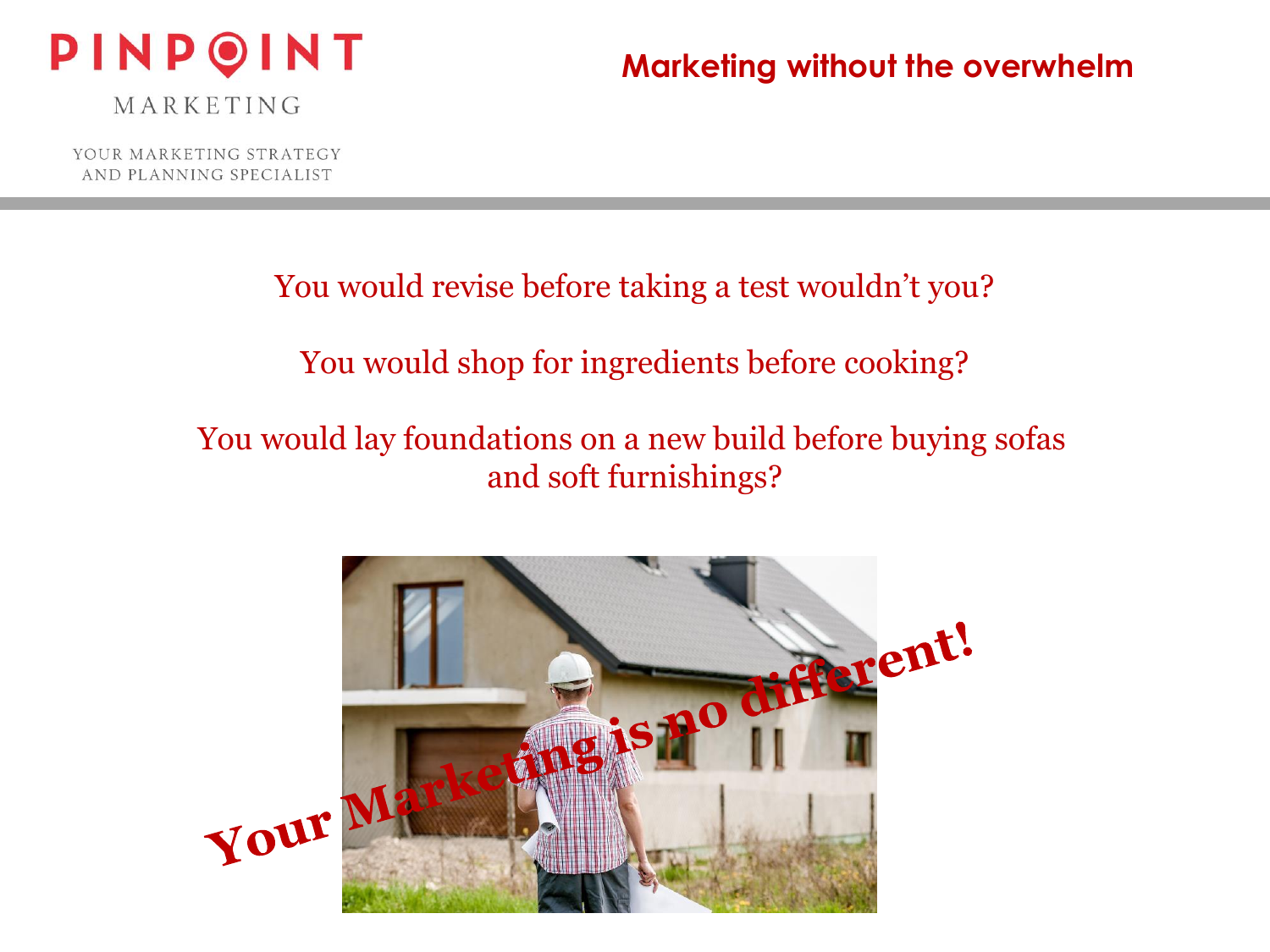

MARKETING

YOUR MARKETING STRATEGY AND PLANNING SPECIALIST

#### You would revise before taking a test wouldn't you?

## You would shop for ingredients before cooking?

## You would lay foundations on a new build before buying sofas and soft furnishings?

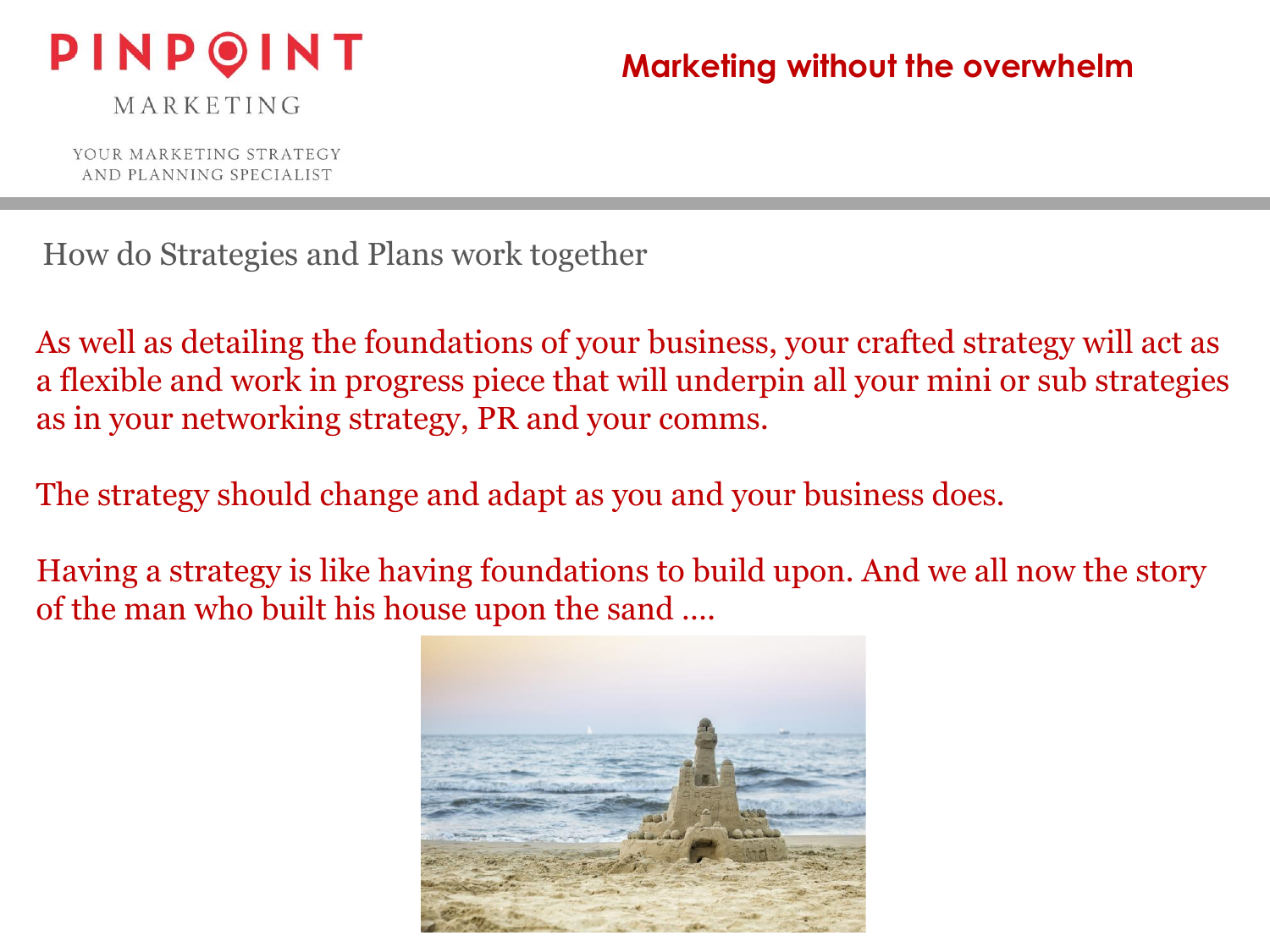

MARKETING

YOUR MARKETING STRATEGY AND PLANNING SPECIALIST

How do Strategies and Plans work together

As well as detailing the foundations of your business, your crafted strategy will act as a flexible and work in progress piece that will underpin all your mini or sub strategies as in your networking strategy, PR and your comms.

The strategy should change and adapt as you and your business does.

Having a strategy is like having foundations to build upon. And we all now the story of the man who built his house upon the sand ….

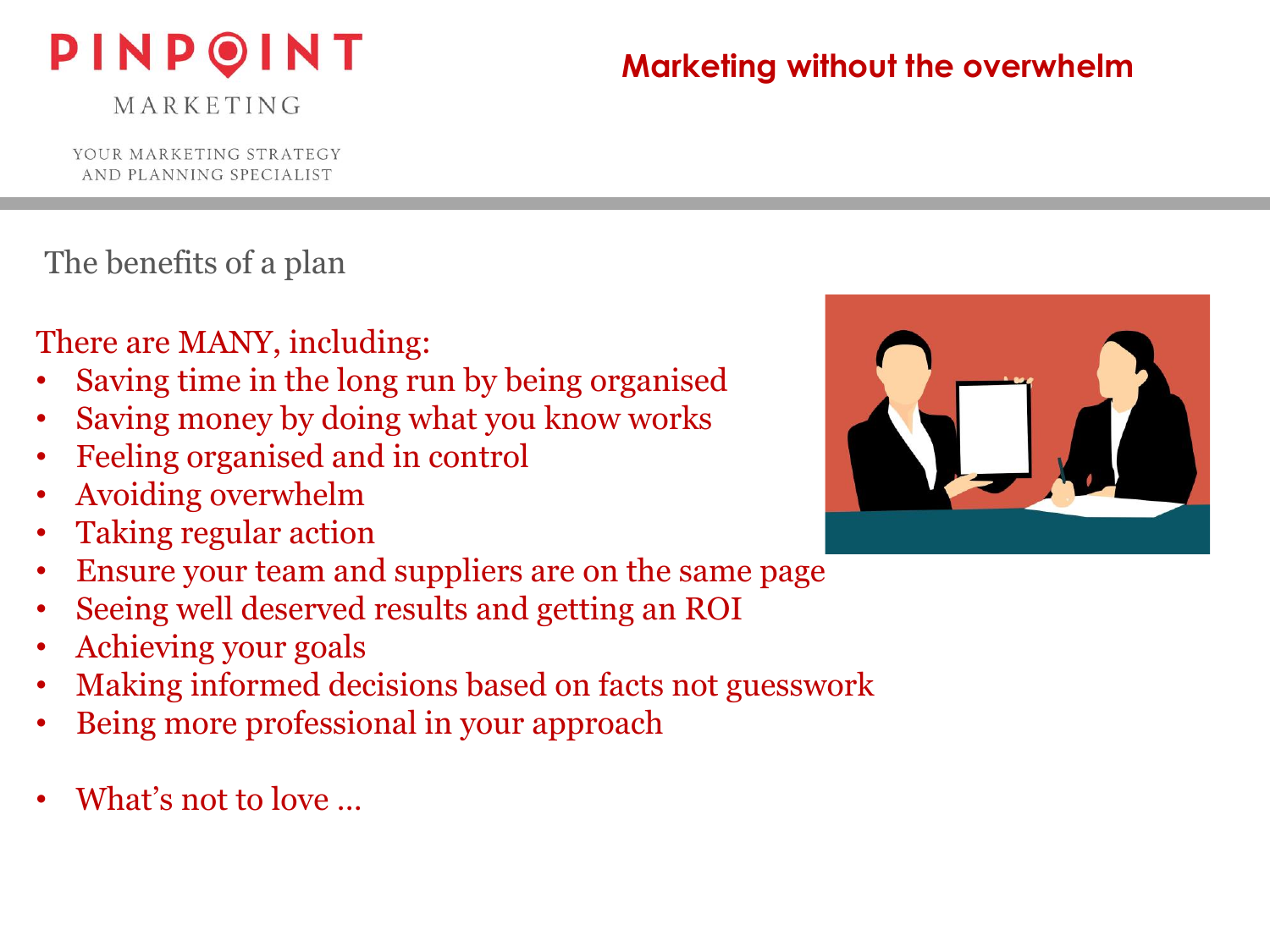# PINPOINT

MARKETING

# **Marketing without the overwhelm**

YOUR MARKETING STRATEGY AND PLANNING SPECIALIST

The benefits of a plan

There are MANY, including:

- Saving time in the long run by being organised
- Saving money by doing what you know works
- Feeling organised and in control
- Avoiding overwhelm
- Taking regular action
- Ensure your team and suppliers are on the same page
- Seeing well deserved results and getting an ROI
- Achieving your goals
- Making informed decisions based on facts not guesswork
- Being more professional in your approach
- What's not to love ...

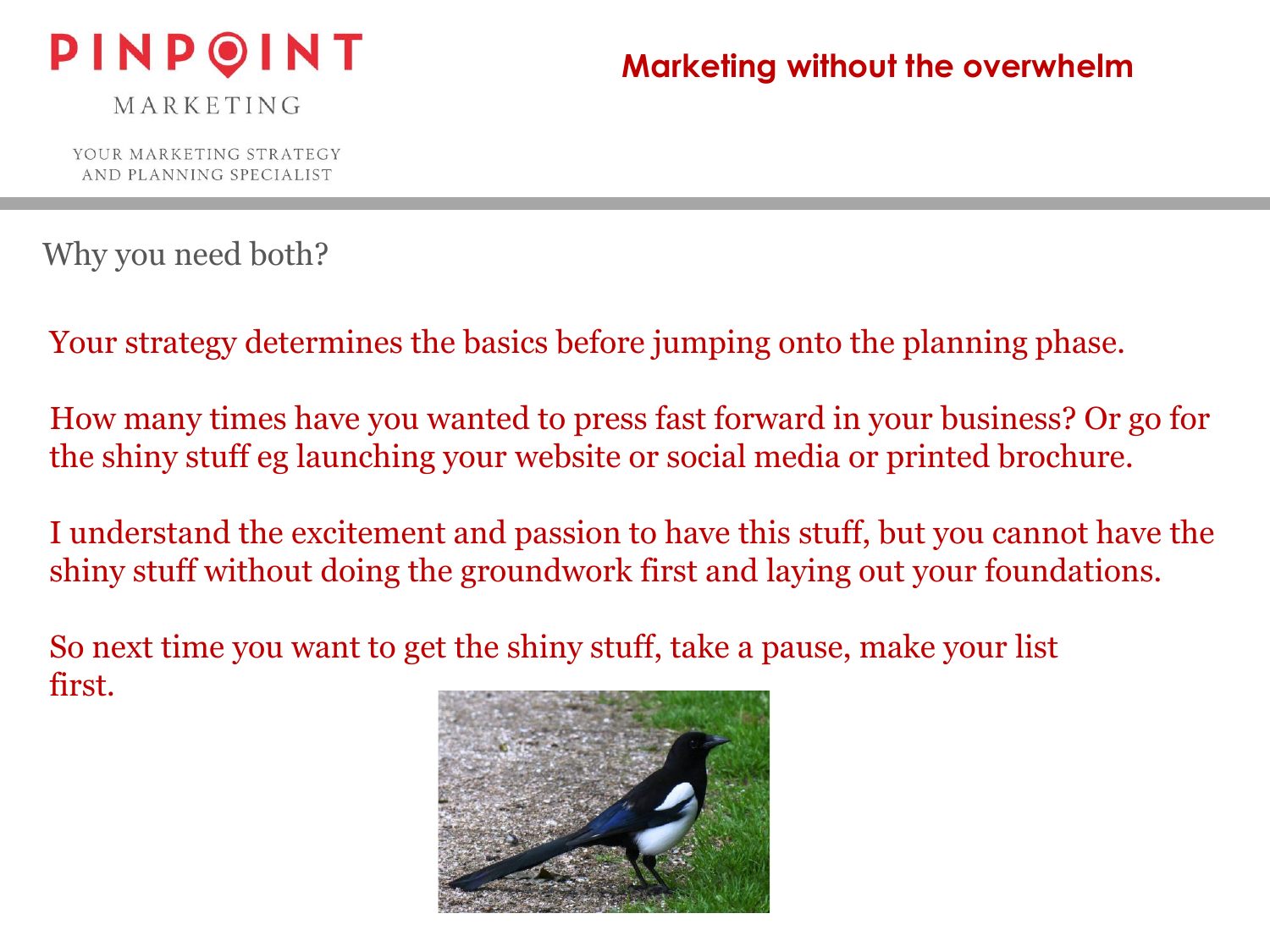

MARKETING

YOUR MARKETING STRATEGY AND PLANNING SPECIALIST

Why you need both?

Your strategy determines the basics before jumping onto the planning phase.

How many times have you wanted to press fast forward in your business? Or go for the shiny stuff eg launching your website or social media or printed brochure.

I understand the excitement and passion to have this stuff, but you cannot have the shiny stuff without doing the groundwork first and laying out your foundations.

So next time you want to get the shiny stuff, take a pause, make your list first.

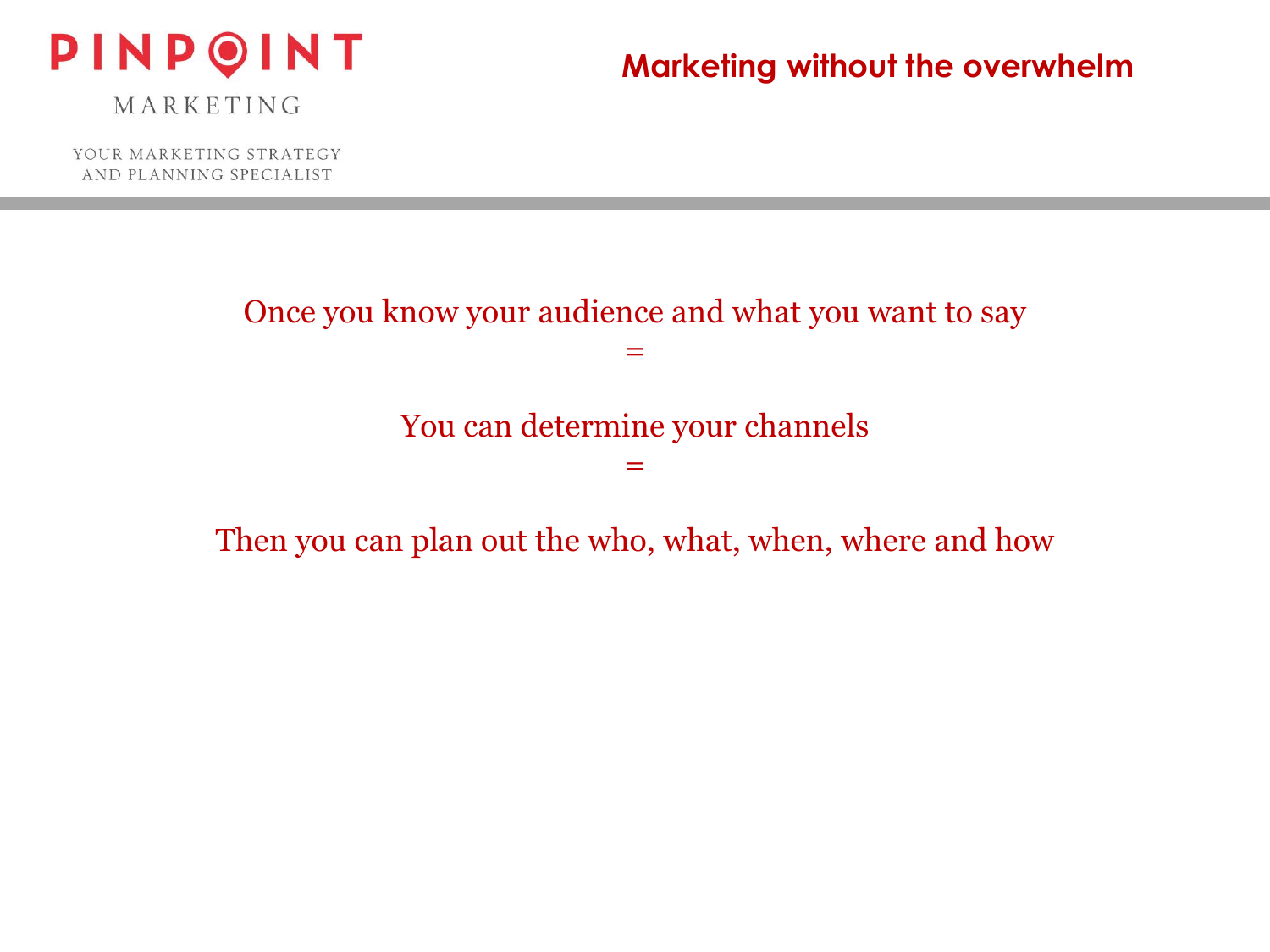

MARKETING

YOUR MARKETING STRATEGY AND PLANNING SPECIALIST

Once you know your audience and what you want to say

=

You can determine your channels

=

Then you can plan out the who, what, when, where and how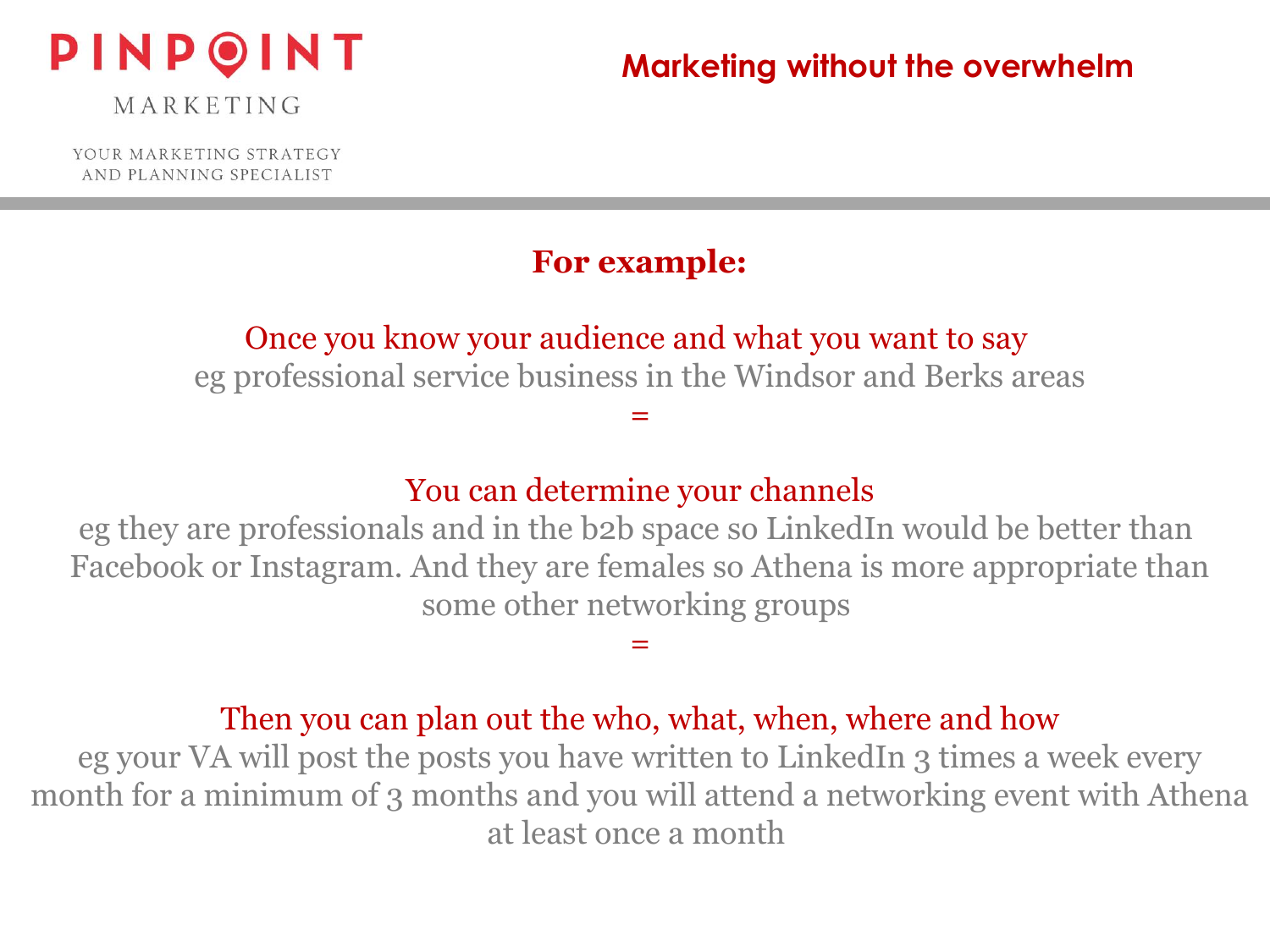

MARKETING

YOUR MARKETING STRATEGY AND PLANNING SPECIALIST

#### **For example:**

#### Once you know your audience and what you want to say

eg professional service business in the Windsor and Berks areas

=

#### You can determine your channels

eg they are professionals and in the b2b space so LinkedIn would be better than Facebook or Instagram. And they are females so Athena is more appropriate than some other networking groups

=

#### Then you can plan out the who, what, when, where and how

eg your VA will post the posts you have written to LinkedIn 3 times a week every month for a minimum of 3 months and you will attend a networking event with Athena at least once a month